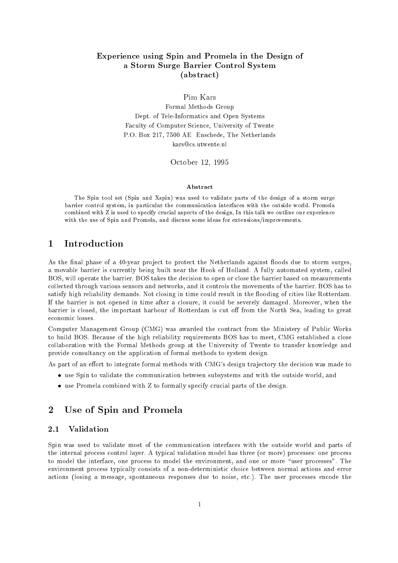## Experience using Spin and Promela in the Design of a Storm Surge Barrier Control System(abstract)

Pim Kars

Formal Methods Group Dept. of Tele-Informatics and Open Systems Faculty of Computer Science, University of Twente P.O. Box 217, 7500 AE Enschede, The Netherlands kars@cs.utwente.nl

October 12, 1995

### Abstract

The Spin tool set (Spin and Xspin) was used to validate parts of the design of a storm surgebarrier control system, in particular the communication interfaces with the outside world. Promelacombined with Z is used to specify crucial aspects of the design. In this talk we outline our experiencewith the use of Spin and Promela, and discuss some ideas for extensions/improvements.

#### $\mathbf{1}$ Introduction

As the final phase of a 40-year project to protect the Netherlands against floods due to storm surges, a movable barrier is currently being built near the Hook of Holland. A fully automated system, called BOS, will operate the barrier. BOS takes the decision to open or close the barrier based on measurements collected through various sensors and networks, and it controls the movements of the barrier. BOS has to satisfy high reliability demands. Not closing in time could result in the flooding of cities like Rotterdam. If the barrier is not opened in time after a closure, it could be severely damaged. Moreover, when the barrier is closed, the important harbour of Rotterdam is cut off from the North Sea, leading to great economic losses.

Computer Management Group (CMG) was awarded the contract from the Ministery of Public Works to build BOS. Because of the high reliability requirements BOS has to meet, CMG established a close collaboration with the Formal Methods group at the University of Twente to transfer knowledge and provide consultancy on the application of formal methods to system design.

As part of an effort to integrate formal methods with CMG's design trajectory the decision was made to

- $\bullet\,$  use  $\bullet$  pin to validate the communication between subsystems and with the outside world, and
- $\bullet\,$  use Promela combined with  $\rm Z$  to formally specify crucial parts of the design.

### 2Use of Spin and Promela

#### 2.1 Validation 2.1

Spin was used to validate most of the communication interfaces with the outside world and parts of the internal process control layer. A typical validation model has three (or more) processes: one process to model the interface, one process to model the environment, and one or more \user processes". The environment process typically consists of a non-deterministic choice between normal actions and error actions (losing a message, spontaneous responses due to noise, etc.). The user processes encode the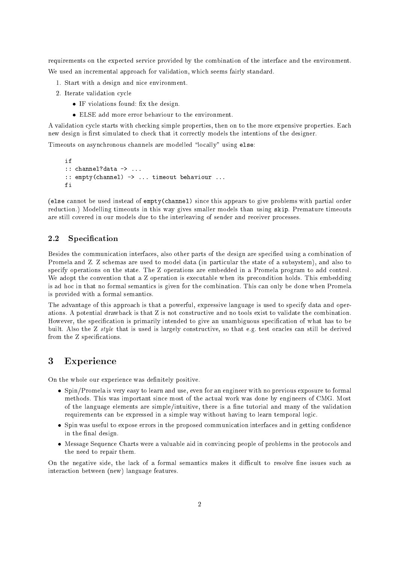requirements on the expected service provided by the combination of the interface and the environment. We used an incremental approach for validation, which seems fairly standard.

- 1. Start with a design and nice environment.
- 2. Iterate validation cycle
	- $\bullet$  If violations found: fix the design.  $\hspace{0.1em}$
	- $\bullet$  ELSE add more error behaviour to the environment.

A validation cycle starts with checking simple properties, then on to the more expensive properties. Each new design is first simulated to check that it correctly models the intentions of the designer.

Timeouts on asynchronous channels are modelled "locally" using else:

```
i f
:: channel?data -> ...
:: empty(channel) -> ... timeout behaviour ...
fi
```
(else cannot be used instead of empty(channel) since this appears to give problems with partial order reduction.) Modelling timeouts in this way gives smaller models than using skip. Premature timeouts are still covered in our models due to the interleaving of sender and receiver processes.

#### 2.2Specification

Besides the communication interfaces, also other parts of the design are specied using a combination of Promela and Z. Z schemas are used to model data (in particular the state of a subsystem), and also to specify operations on the state. The Z operations are embedded in a Promela program to add control. We adopt the convention that a Z operation is executable when its precondition holds. This embedding is ad hoc in that no formal semantics is given for the combination. This can only be done when Promela is provided with a formal semantics.

The advantage of this approach is that a powerful, expressive language is used to specify data and operations. A potential drawback is that Z is not constructive and no tools exist to validate the combination. However, the specication is primarily intended to give an unambiguous specication of what has to be built. Also the Z style that is used is largely constructive, so that e.g. test oracles can still be derived from the Z specifications.

## Experience

On the whole our experience was definitely positive.

- Spin/Promela is very easy to learn and use, even for an engineer with no previous exposure to formal methods. This was important since most of the actual work was done by engineers of CMG. Most of the language elements are simple/intuitive, there is a fine tutorial and many of the validation requirements can be expressed in a simple way without having to learn temporal logic.
- $\bullet\,$  Spin was useful to expose errors in the proposed communication interfaces and in getting confidence in the final design.
- $\bullet$  -Message Sequence Charts were a valuable aid in convincing people of problems in the protocols and the need to repair them.

On the negative side, the lack of a formal semantics makes it difficult to resolve fine issues such as interaction between (new) language features.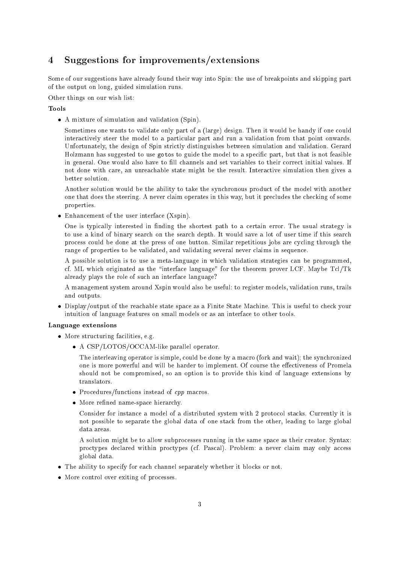# Suggestions for improvements/extensions

Some of our suggestions have already found their way into Spin: the use of breakpoints and skipping part of the output on long, guided simulation runs.

Other things on our wish list:

## Tools

 $\bullet$  A mixture of simulation and validation (Spin).

Sometimes one wants to validate only part of a (large) design. Then it would be handy if one could interactively steer the model to a particular part and run a validation from that point onwards. Unfortunately, the design of Spin strictly distinguishes between simulation and validation. Gerard Holzmann has suggested to use gotos to guide the model to a specic part, but that is not feasible in general. One would also have to fill channels and set variables to their correct initial values. If not done with care, an unreachable state might be the result. Interactive simulation then gives a better solution.

Another solution would be the ability to take the synchronous product of the model with another one that does the steering. A never claim operates in this way, but it precludes the checking of some properties.

 $\bullet$  Enhancement of the user interface (Aspin).

One is typically interested in finding the shortest path to a certain error. The usual strategy is to use a kind of binary search on the search depth. It would save a lot of user time if this search process could be done at the press of one button. Similar repetitious jobs are cycling through the range of properties to be validated, and validating several never claims in sequence.

A possible solution is to use a meta-language in which validation strategies can be programmed, cf. ML which originated as the \interface language" for the theorem prover LCF. Maybe Tcl/Tk already plays the role of such an interface language?

A management system around Xspin would also be useful: to register models, validation runs, trails and outputs.

 $\bullet$  Display/output of the reachable state space as a Finite State Machine. This is useful to check your intuition of language features on small models or as an interface to other tools.

## Language extensions

- $\bullet\,$  More structuring facilities, e.g.  $\,$ 
	- $\bullet$  A CSP/LOTOS/OCCAM-like parallel operator.

The interleaving operator is simple, could be done by a macro (fork and wait); the synchronized one is more powerful and will be harder to implement. Of course the eectiveness of Promela should not be compromised, so an option is to provide this kind of language extensions by translators.

- $\bullet$  Procedures/functions instead of  $\it{cpp}$  macros.
- $\bullet\,$  More renned name-space merarchy.  $\,$

Consider for instance a model of a distributed system with 2 protocol stacks. Currently it is not possible to separate the global data of one stack from the other, leading to large global

A solution might be to allow subprocesses running in the same space as their creator. Syntax: proctypes declared within proctypes (cf. Pascal). Problem: a never claim may only access global data.

- $\bullet$  The ability to specify for each channel separately whether it blocks or not.
- $\bullet\,$  More control over exiting of processes.  $\,$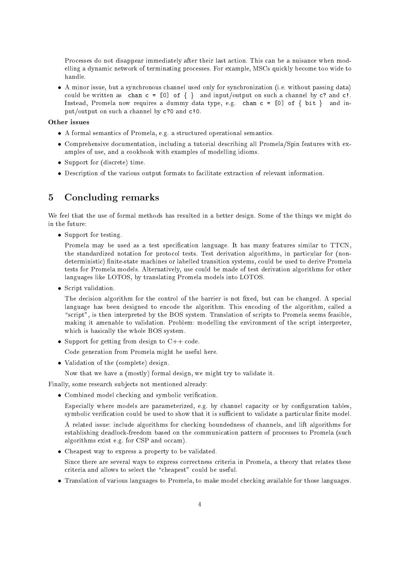Processes do not disappear immediately after their last action. This can be a nuisance when modelling a dynamic network of terminating processes. For example, MSCs quickly become too wide to handle.

 $\bullet$  A minor issue, but a synchronous channel used only for synchronization (i.e. without passing data)  $\bullet$ could be written as chan  $c = [0]$  of  $\{\}$  and input/output on such a channel by c? and c!. Instead, Promela now requires a dummy data type, e.g. chan  $c = [0]$  of  $\{ bit \}$  and input/output on such a channel by c?0 and c!0.

## Other issues

- A formal semantics of Promela, e.g. a structured operational semantics.
- $\bullet$  Comprehensive documentation, including a tutorial describing all Promela/Spin features with examples of use, and a cookbook with examples of modelling idioms.
- $\bullet\,$  support for (discrete) time.  $\,$
- $\bullet$  Description of the various output formats to facilitate extraction of relevant information.

### 5Concluding remarks

We feel that the use of formal methods has resulted in a better design. Some of the things we might do in the future:

 $\bullet\,$  support for testing.

Promela may be used as a test specification language. It has many features similar to TTCN, the standardized notation for protocol tests. Test derivation algorithms, in particular for (nondeterministic) finite-state machines or labelled transition systems, could be used to derive Promela tests for Promela models. Alternatively, use could be made of test derivation algorithms for other languages like LOTOS, by translating Promela models into LOTOS.

 $\bullet$  script validation.

The decision algorithm for the control of the barrier is not fixed, but can be changed. A special language has been designed to encode the algorithm. This encoding of the algorithm, called a " $script"$ , is then interpreted by the BOS system. Translation of scripts to Promela seems feasible, making it amenable to validation. Problem: modelling the environment of the script interpreter, which is basically the whole BOS system.

 $\bullet\,$  Support for getting from design to  $\mathrm{C++}$  code.

Code generation from Promela might be useful here.

Validation of the (complete) design.

Now that we have a (mostly) formal design, we might try to validate it.

Finally, some research sub jects not mentioned already:

 $\bullet$  Combined model checking and symbolic verification.

Especially where models are parameterized, e.g. by channel capacity or by configuration tables, symbolic verification could be used to show that it is sufficient to validate a particular finite model.

A related issue: include algorithms for checking boundedness of channels, and lift algorithms for establishing deadlock-freedom based on the communication pattern of processes to Promela (such algorithms exist e.g. for CSP and occam).

 $\bullet$  Cheapest way to express a property to be validated.

Since there are several ways to express correctness criteria in Promela, a theory that relates these criteria and allows to select the "cheapest" could be useful.

 $\bullet$  -franslation of various languages to Promela, to make model checking available for those languages.